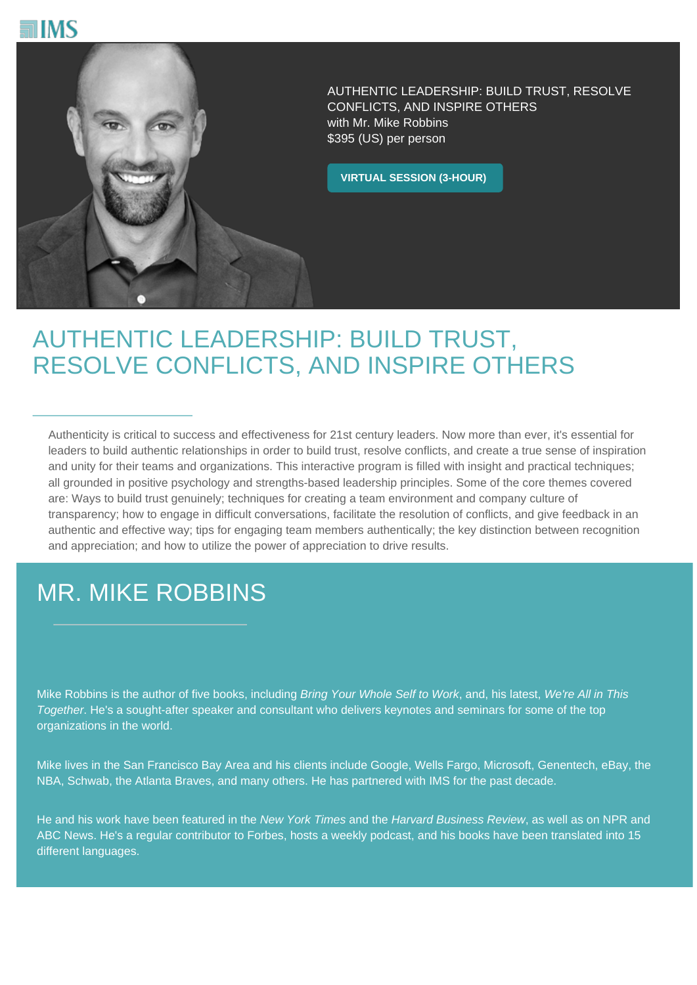



AUTHENTIC LEADERSHIP: BUILD TRUST, RESOLVE CONFLICTS, AND INSPIRE OTHERS with Mr. Mike Robbins \$395 (US) per person

**VIRTUAL SESSION (3-HOUR)**

## AUTHENTIC LEADERSHIP: BUILD TRUST, RESOLVE CONFLICTS, AND INSPIRE OTHERS

Authenticity is critical to success and effectiveness for 21st century leaders. Now more than ever, it's essential for leaders to build authentic relationships in order to build trust, resolve conflicts, and create a true sense of inspiration and unity for their teams and organizations. This interactive program is filled with insight and practical techniques; all grounded in positive psychology and strengths-based leadership principles. Some of the core themes covered are: Ways to build trust genuinely; techniques for creating a team environment and company culture of transparency; how to engage in difficult conversations, facilitate the resolution of conflicts, and give feedback in an authentic and effective way; tips for engaging team members authentically; the key distinction between recognition and appreciation; and how to utilize the power of appreciation to drive results.

## MR. MIKE ROBBINS

Mike Robbins is the author of five books, including Bring Your Whole Self to Work, and, his latest, We're All in This Together. He's a sought-after speaker and consultant who delivers keynotes and seminars for some of the top organizations in the world.

Mike lives in the San Francisco Bay Area and his clients include Google, Wells Fargo, Microsoft, Genentech, eBay, the NBA, Schwab, the Atlanta Braves, and many others. He has partnered with IMS for the past decade.

He and his work have been featured in the New York Times and the Harvard Business Review, as well as on NPR and ABC News. He's a regular contributor to Forbes, hosts a weekly podcast, and his books have been translated into 15 different languages.